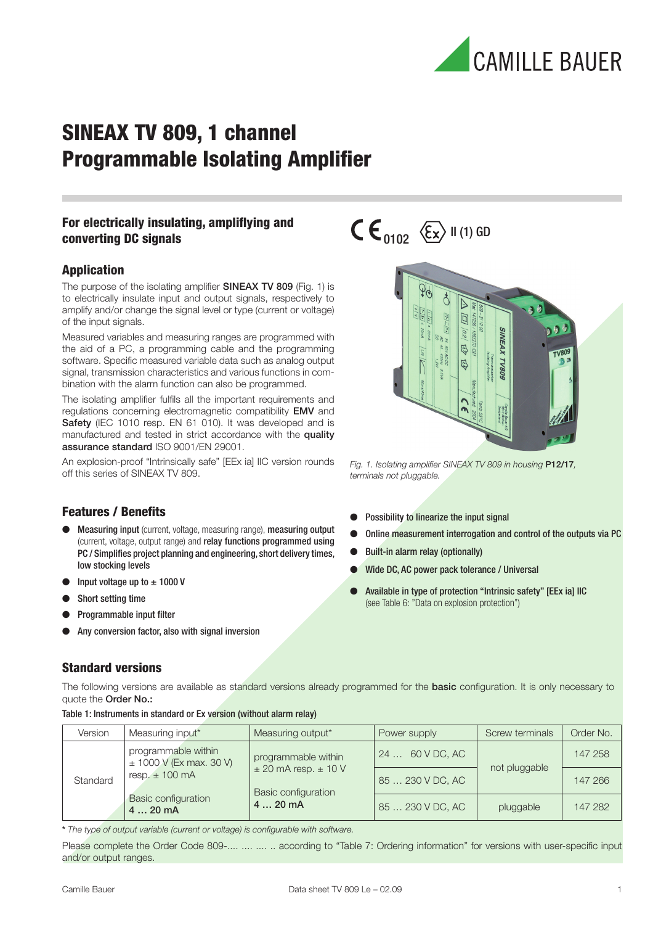

### **For electrically insulating, amplifl ying and converting DC signals**

### **Application**

The purpose of the isolating amplifier **SINEAX TV 809** (Fig. 1) is to electrically insulate input and output signals, respectively to amplify and/or change the signal level or type (current or voltage) of the input signals.

Measured variables and measuring ranges are programmed with the aid of a PC, a programming cable and the programming software. Specific measured variable data such as analog output signal, transmission characteristics and various functions in combination with the alarm function can also be programmed.

The isolating amplifier fulfils all the important requirements and regulations concerning electromagnetic compatibility EMV and Safety (IEC 1010 resp. EN 61 010). It was developed and is manufactured and tested in strict accordance with the **quality** assurance standard ISO 9001/EN 29001.

An explosion-proof "Intrinsically safe" [EEx ia] IIC version rounds off this series of SINEAX TV 809.

# $C \epsilon_{\text{nno2}} \langle \xi_{\mathbf{x}} \rangle$  II (1) GD



Fig. 1. Isolating amplifier SINEAX TV 809 in housing P12/17, terminals not pluggable.

Wide DC, AC power pack tolerance / Universal

(see Table 6: "Data on explosion protection")

Available in type of protection "Intrinsic safety" [EEx ia] IIC

Online measurement interrogation and control of the outputs via PC

● Possibility to linearize the input signal

Built-in alarm relay (optionally)

### **Features / Benefits**

- Measuring input (current, voltage, measuring range), measuring output (current, voltage, output range) and relay functions programmed using PC / Simplifies project planning and engineering, short delivery times, low stocking levels
- Input voltage up to  $\pm$  1000 V
- Short setting time
- Programmable input filter
- Any conversion factor, also with signal inversion

### **Standard versions**

The following versions are available as standard versions already programmed for the **basic** configuration. It is only necessary to quote the Order No.:

#### Table 1: Instruments in standard or Ex version (without alarm relay)

| Version  | Measuring input*                                                                                                            | Measuring output*            | Power supply     | Screw terminals | Order No. |
|----------|-----------------------------------------------------------------------------------------------------------------------------|------------------------------|------------------|-----------------|-----------|
| Standard | programmable within<br>programmable within<br>± 1000 V (Ex max. 30 V)<br>$\pm$ 20 mA resp. $\pm$ 10 V<br>resp. $\pm$ 100 mA |                              | 24  60 V DC, AC  | not pluggable   | 147 258   |
|          |                                                                                                                             | Basic configuration<br>420mA | 85  230 V DC, AC |                 | 147 266   |
|          | <b>Basic configuration</b><br>420mA                                                                                         |                              | 85  230 V DC, AC | pluggable       | 147 282   |

\* The type of output variable (current or voltage) is configurable with software.

Please complete the Order Code 809-.... .... .... ... according to "Table 7: Ordering information" for versions with user-specific input and/or output ranges.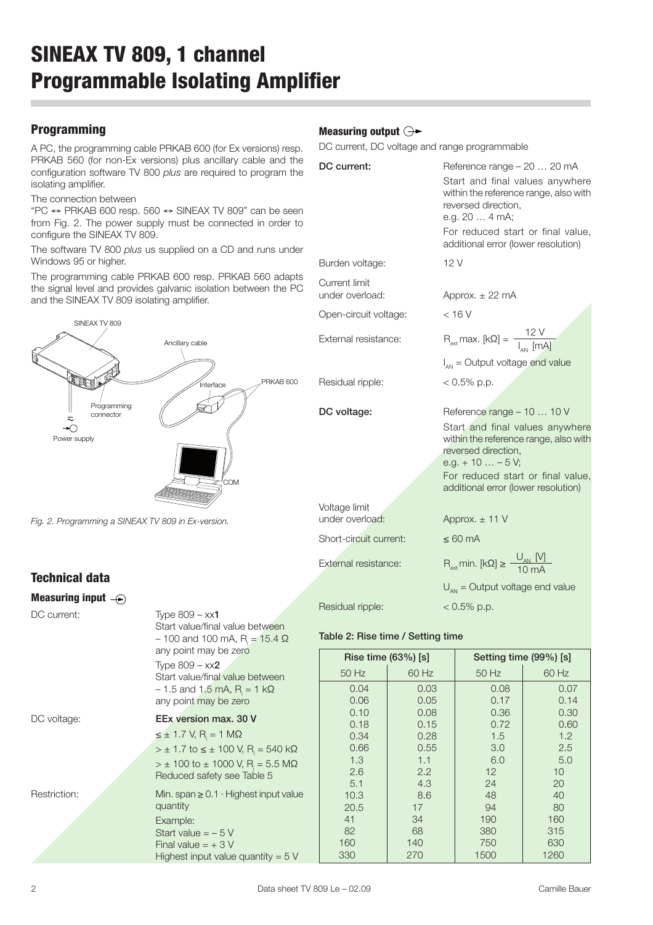### **Programming**

A PC, the programming cable PRKAB 600 (for Ex versions) resp. PRKAB 560 (for non-Ex versions) plus ancillary cable and the configuration software TV 800 plus are required to program the isolating amplifier.

The connection between

"PC  $\leftrightarrow$  PRKAB 600 resp. 560  $\leftrightarrow$  SINEAX TV 809" can be seen from Fig. 2. The power supply must be connected in order to configure the SINEAX TV 809.

The software TV 800 *plus* us supplied on a CD and runs under Windows 95 or higher.

The programming cable PRKAB 600 resp. PRKAB 560 adapts the signal level and provides galvanic isolation between the PC and the SINEAX TV 809 isolating amplifier.



Fig. 2. Programming a SINEAX TV 809 in Ex-version.

### **Technical data**

#### **Measuring input**  DC current: Type 809 – xx1 Start value/final value between  $-$  100 and 100 mA, R<sub>i</sub> = 15.4  $\Omega$  any point may be zero Type  $809 - xx2$ Start value/final value between  $-$  1.5 and 1.5 mA, R<sub>i</sub> = 1 kΩ any point may be zero DC voltage: EEx version max. 30 V  $\leq \pm 1.7$  V, R<sub>i</sub> = 1 MΩ  $>$  ± 1.7 to ≤ ± 100 V, R<sub>i</sub> = 540 kΩ  $>$  ± 100 to ± 1000 V, R<sub>i</sub> = 5.5 MΩ Reduced safety see Table 5 Restriction: Min. span ≥ 0.1 · Highest input value quantity Example: Start value  $=-5$  V Final value  $= +3$  V 0.04 0.06 0.10 0.18 0.34 0.66  $1.3$  2.6 5.1 10.3 20.5 41 82 0.03 0.05 0.08 0.15  $0.28$  0.55  $1.1$  2.2 4.3 8.6 17 34 68

Highest input value quantity  $= 5 V$ 

### **Measuring output**

DC current, DC voltage and range programmable

| DC current:                      | Reference range - 20  20 mA<br>Start and final values anywhere<br>within the reference range, also with<br>reversed direction,<br>e.g. 20  4 mA;<br>For reduced start or final value,<br>additional error (lower resolution)   |
|----------------------------------|--------------------------------------------------------------------------------------------------------------------------------------------------------------------------------------------------------------------------------|
| Burden voltage:                  | 12 V                                                                                                                                                                                                                           |
| Current limit<br>under overload: | Approx. $\pm$ 22 mA                                                                                                                                                                                                            |
| Open-circuit voltage:            | $<$ 16 V                                                                                                                                                                                                                       |
| External resistance:             | $R_{ext}$ max. [kΩ] = $\frac{12 V}{I_{ext}}$ [mA]                                                                                                                                                                              |
|                                  | $I_{AN}$ = Output voltage end value                                                                                                                                                                                            |
| Residual ripple:                 | $< 0.5\%$ p.p.                                                                                                                                                                                                                 |
| DC voltage:                      | Reference range - 10  10 V<br>Start and final values anywhere<br>within the reference range, also with<br>reversed direction.<br>e.g. $+10 - 5V$ ;<br>For reduced start or final value,<br>additional error (lower resolution) |
| Voltage limit<br>under overload: | Approx. $\pm$ 11 V                                                                                                                                                                                                             |
| Short-circuit current:           | $\leq 60$ mA                                                                                                                                                                                                                   |
| External resistance:             | $R_{\text{ext}}$ min. $[k\Omega] \geq \frac{U_{\text{AN}}[V]}{10 \text{ mA}}$                                                                                                                                                  |
|                                  | $U_{AN}$ = Output voltage end value                                                                                                                                                                                            |
| Residual ripple:                 | $< 0.5\%$ p.p.                                                                                                                                                                                                                 |

#### Table 2: Rise time / Setting time

| Rise time $(63%)$ [s] |       | Setting time (99%) [s] |       |  |
|-----------------------|-------|------------------------|-------|--|
| 50 Hz                 | 60 Hz | 50 Hz                  | 60 Hz |  |
| 0.04                  | 0.03  | 0.08                   | 0.07  |  |
| 0.06                  | 0.05  | 0.17                   | 0.14  |  |
| 0.10                  | 0.08  | 0.36                   | 0.30  |  |
| 0.18                  | 0.15  | 0.72                   | 0.60  |  |
| 0.34                  | 0.28  | 1.5                    | 1.2   |  |
| 0.66                  | 0.55  | 3.0                    | 2.5   |  |
| 1.3                   | 1.1   | 6.0                    | 5.0   |  |
| 2.6                   | 2.2   | 12                     | 10    |  |
| 5.1                   | 4.3   | 24                     | 20    |  |
| 10.3                  | 8.6   | 48                     | 40    |  |
| 20.5                  | 17    | 94                     | 80    |  |
| 41                    | 34    | 190                    | 160   |  |
| 82                    | 68    | 380                    | 315   |  |
| 160                   | 140   | 750                    | 630   |  |
| 330                   | 270   | 1500                   | 1260  |  |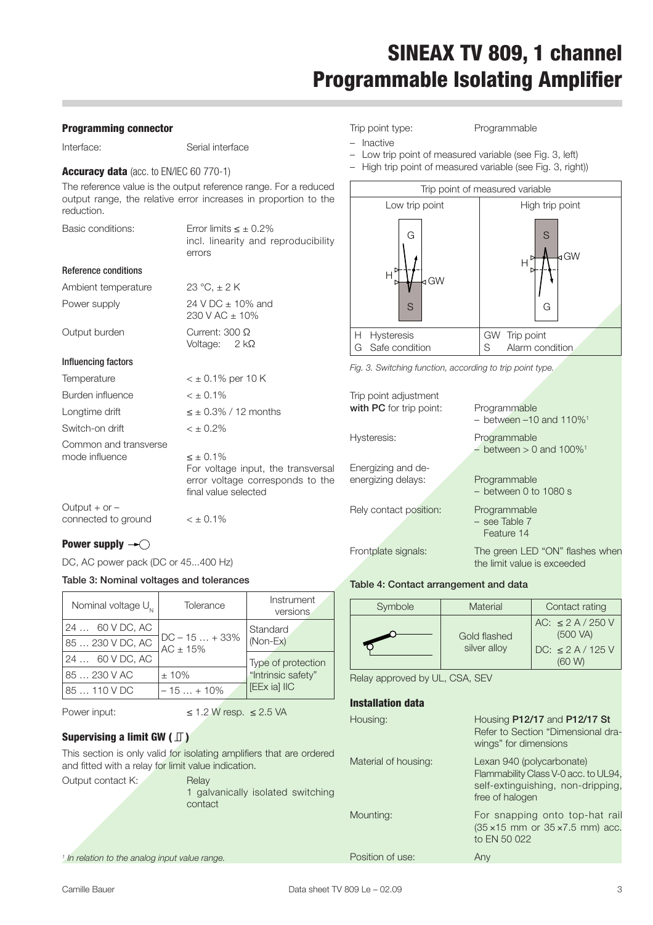#### **Programming connector**

Interface: Serial interface

**Accuracy data** (acc. to EN/IEC 60 770-1) The reference value is the output reference range. For a reduced output range, the relative error increases in proportion to the reduction.

| Basic conditions:                        | Error limits $\lt$ $\pm$ 0.2%<br>incl. linearity and reproducibility<br>errors                                     |  |
|------------------------------------------|--------------------------------------------------------------------------------------------------------------------|--|
| Reference conditions                     |                                                                                                                    |  |
| Ambient temperature                      | 23 °C, $\pm$ 2 K                                                                                                   |  |
| Power supply                             | 24 V DC $\pm$ 10% and<br>$230$ V AC + 10%                                                                          |  |
| Output burden                            | Current: $300 \Omega$<br>Voltage: $2$ kΩ                                                                           |  |
| Influencing factors                      |                                                                                                                    |  |
| Temperature                              | $<$ $\pm$ 0.1% per 10 K                                                                                            |  |
| Burden influence                         | $\leq \pm 0.1\%$                                                                                                   |  |
| Longtime drift                           | $\leq$ $\pm$ 0.3% / 12 months                                                                                      |  |
| Switch-on drift                          | $\leq$ $\pm$ 0.2%                                                                                                  |  |
| Common and transverse<br>mode influence  | $\leq \pm 0.1\%$<br>For voltage input, the transversal<br>error voltage corresponds to the<br>final value selected |  |
| Output $+$ or $-$<br>connected to ground | $< \pm 0.1\%$                                                                                                      |  |

### **Power supply**

DC, AC power pack (DC or 45...400 Hz)

| Nominal voltage $U_{N}$ | Tolerance                       | Instrument<br>versions. |
|-------------------------|---------------------------------|-------------------------|
| 24  60 V DC, AC         |                                 | Standard                |
| 85  230 V DC, AC        | $DC - 15  + 33\%$<br>$AC + 15%$ | (Non-Ex)                |
| 24  60 V DC, AC         |                                 | Type of protection      |
| 85  230 V AC            | ±10%                            | "Intrinsic safety"      |
| 85  110 V DC            | $-15 + 10\%$                    | [EEx ia] IIC            |

```
Power input: \leq 1.2 W resp. \leq 2.5 VA
```
### **Supervising a limit GW ( )**

This section is only valid for isolating amplifiers that are ordered and fitted with a relay for limit value indication.

| Output contact K: | Relav                                        |
|-------------------|----------------------------------------------|
|                   | 1 galvanically isolated switching<br>contact |
|                   |                                              |

<sup>1</sup> In relation to the analog input value range.

- Trip point type: Programmable
	-
- Inactive
- Low trip point of measured variable (see Fig. 3, left)
- High trip point of measured variable (see Fig. 3, right))



Fig. 3. Switching function, according to trip point type.

| Trip point adjustment<br>with PC for trip point: | Programmable<br>$-$ between $-10$ and $110\%$ <sup>1</sup>     |
|--------------------------------------------------|----------------------------------------------------------------|
| Hysteresis:                                      | Programmable<br>$-$ between $> 0$ and 100% <sup>1</sup>        |
| Energizing and de-<br>energizing delays:         | Programmable<br>$-$ between 0 to 1080 s                        |
| Rely contact position:                           | Programmable<br>$-$ see Table 7<br>Feature 14                  |
| Frontplate signals:                              | The green LED "ON" flashes when<br>the limit value is exceeded |

### Table 4: Contact arrangement and data

| Symbole | Material                     | Contact rating                                                         |
|---------|------------------------------|------------------------------------------------------------------------|
|         | Gold flashed<br>silver alloy | AC: $\leq$ 2 A / 250 V<br>(500 VA)<br>$DC: \leq 2 A / 125 V$<br>(60 W) |

Relay approved by UL, CSA, SEV

### **Installation data**

| Housing:             | Housing <b>P12/17</b> and <b>P12/17 St</b><br>Refer to Section "Dimensional dra-<br>wings" for dimensions                 |  |
|----------------------|---------------------------------------------------------------------------------------------------------------------------|--|
| Material of housing: | Lexan 940 (polycarbonate)<br>Flammability Class V-0 acc. to UL94,<br>self-extinguishing, non-dripping,<br>free of halogen |  |
| Mounting:            | For snapping onto top-hat rail<br>$(35 \times 15$ mm or $35 \times 7.5$ mm) acc.<br>to EN 50 022                          |  |
| Position of use:     | Anv                                                                                                                       |  |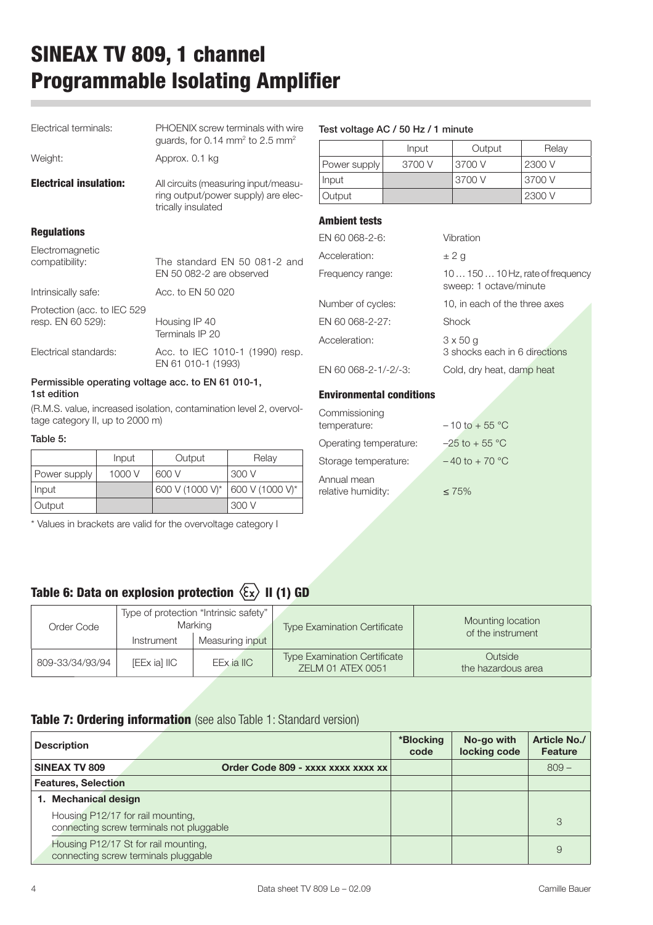| Electrical terminals:             | <b>PHOENIX</b> screw terminals with wire<br>guards, for 0.14 mm <sup>2</sup> to 2.5 mm <sup>2</sup> | Tes       |
|-----------------------------------|-----------------------------------------------------------------------------------------------------|-----------|
| Weight:                           | Approx. 0.1 kg                                                                                      | Po        |
| <b>Electrical insulation:</b>     | All circuits (measuring input/measu-<br>ring output/power supply) are elec-<br>trically insulated   | Inp<br>Οu |
|                                   |                                                                                                     | Am        |
| <b>Regulations</b>                |                                                                                                     | EN        |
| Electromagnetic<br>compatibility: | The standard EN 50 081-2 and                                                                        | Асс       |
|                                   | EN 50 082-2 are observed                                                                            | Fre       |
| Intrinsically safe:               | Acc. to EN 50 020                                                                                   |           |
| Protection (acc. to IEC 529       |                                                                                                     | Nur       |
| resp. EN 60 529):                 | Housing IP 40                                                                                       | EN        |
|                                   | Terminals IP 20                                                                                     | Acc       |
| Electrical standards:             | Acc. to IEC 1010-1 (1990) resp.<br>EN 61 010-1 (1993)                                               | ENL       |
|                                   |                                                                                                     |           |

#### Permissible operating voltage acc. to EN 61 010-1, 1st edition

(R.M.S. value, increased isolation, contamination level 2, overvoltage category II, up to 2000 m)

#### Table 5:

|              | Input  | Output                            | Relay   |
|--------------|--------|-----------------------------------|---------|
| Power supply | 1000 V | 1 600 V                           | l 300 V |
| Input        |        | 600 V (1000 V)*   600 V (1000 V)* |         |
| Output       |        |                                   | l 300 V |

\* Values in brackets are valid for the overvoltage category I

#### st voltage AC / 50 Hz / 1 minute

|              | Input  | Output | Relay  |
|--------------|--------|--------|--------|
| Power supply | 3700 V | 3700 V | 2300 V |
| Input        |        | 3700 V | 3700 V |
| Output       |        |        | 2300 V |

#### **Ambient tests**

| EN 60 068-2-6:       | Vibration                                                 |
|----------------------|-----------------------------------------------------------|
| Acceleration:        | ± 2 g                                                     |
| Frequency range:     | $1015010$ Hz, rate of frequency<br>sweep: 1 octave/minute |
| Number of cycles:    | 10, in each of the three axes                             |
| EN 60 068-2-27:      | Shock                                                     |
| Acceleration:        | $3 \times 50$ g<br>3 shocks each in 6 directions          |
| EN 60 068-2-1/-2/-3: | Cold, dry heat, damp heat                                 |

### **Environmental conditions**

| Commissioning<br>temperature:     | $-10$ to $+55$ °C |
|-----------------------------------|-------------------|
| Operating temperature:            | $-25$ to + 55 °C  |
| Storage temperature:              | $-40$ to $+70$ °C |
| Annual mean<br>relative humidity: | $< 75\%$          |

### **Table 6: Data on explosion protection**  $\langle \overline{\xi_x} \rangle$  **II (1) GD**

| Order Code      | Type of protection "Intrinsic safety"<br>Marking |                 | <b>Type Examination Certificate</b>                             | Mounting location<br>of the instrument |
|-----------------|--------------------------------------------------|-----------------|-----------------------------------------------------------------|----------------------------------------|
|                 | Instrument                                       | Measuring input |                                                                 |                                        |
| 809-33/34/93/94 | [EEx ia] IIC                                     | $EEx$ ia IIC    | <b>Type Examination Certificate</b><br><b>ZELM 01 ATEX 0051</b> | Outside<br>the hazardous area          |

### **Table 7: Ordering information** (see also Table 1: Standard version)

| <b>Description</b>                                                            | *Blocking<br>code | No-go with<br>locking code | Article No./<br><b>Feature</b> |
|-------------------------------------------------------------------------------|-------------------|----------------------------|--------------------------------|
| SINEAX TV 809<br>Order Code 809 - xxxx xxxx xxxx xx                           |                   |                            | $809 -$                        |
| <b>Features, Selection</b>                                                    |                   |                            |                                |
| 1. Mechanical design                                                          |                   |                            |                                |
| Housing P12/17 for rail mounting,<br>connecting screw terminals not pluggable |                   |                            | 3                              |
| Housing P12/17 St for rail mounting,<br>connecting screw terminals pluggable  |                   |                            | 9                              |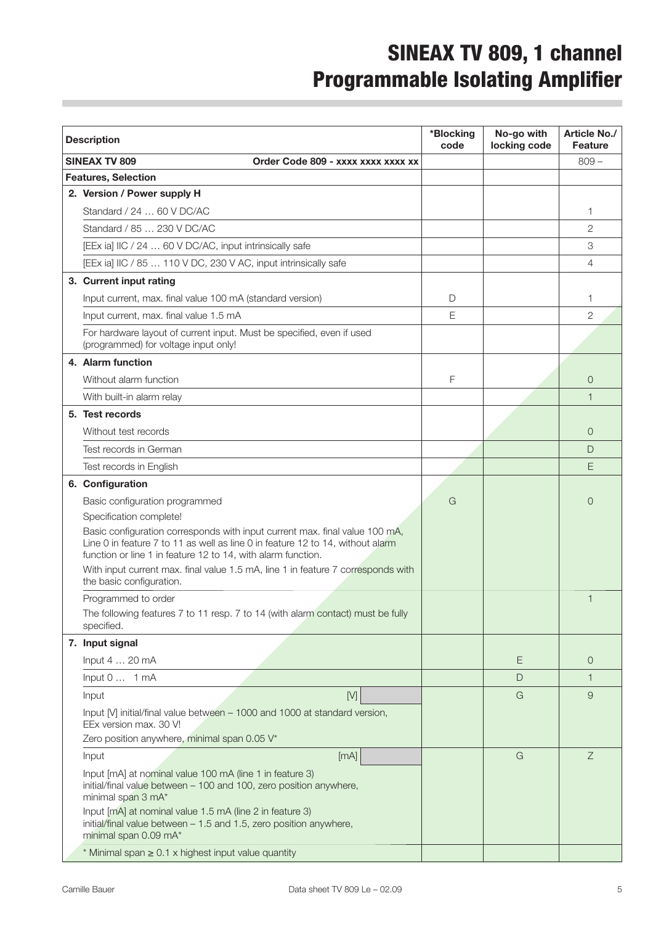| <b>Description</b>                                                                                                                                                                                                                                                                                                                                                                          | *Blocking<br>code | No-go with<br>locking code | Article No./<br><b>Feature</b> |
|---------------------------------------------------------------------------------------------------------------------------------------------------------------------------------------------------------------------------------------------------------------------------------------------------------------------------------------------------------------------------------------------|-------------------|----------------------------|--------------------------------|
| <b>SINEAX TV 809</b><br>Order Code 809 - xxxx xxxx xxxx xx                                                                                                                                                                                                                                                                                                                                  |                   |                            | $809 -$                        |
| <b>Features, Selection</b>                                                                                                                                                                                                                                                                                                                                                                  |                   |                            |                                |
| 2. Version / Power supply H                                                                                                                                                                                                                                                                                                                                                                 |                   |                            |                                |
| Standard / 24  60 V DC/AC                                                                                                                                                                                                                                                                                                                                                                   |                   |                            | 1                              |
| Standard / 85  230 V DC/AC                                                                                                                                                                                                                                                                                                                                                                  |                   |                            | $\overline{c}$                 |
| [EEx ia] IIC / 24  60 V DC/AC, input intrinsically safe                                                                                                                                                                                                                                                                                                                                     |                   |                            | 3                              |
| [EEx ia] IIC / 85  110 V DC, 230 V AC, input intrinsically safe                                                                                                                                                                                                                                                                                                                             |                   |                            | 4                              |
| 3. Current input rating                                                                                                                                                                                                                                                                                                                                                                     |                   |                            |                                |
| Input current, max. final value 100 mA (standard version)                                                                                                                                                                                                                                                                                                                                   | D                 |                            | 1                              |
| Input current, max. final value 1.5 mA                                                                                                                                                                                                                                                                                                                                                      | Ε                 |                            | $\overline{2}$                 |
| For hardware layout of current input. Must be specified, even if used<br>(programmed) for voltage input only!                                                                                                                                                                                                                                                                               |                   |                            |                                |
| 4. Alarm function                                                                                                                                                                                                                                                                                                                                                                           |                   |                            |                                |
| Without alarm function                                                                                                                                                                                                                                                                                                                                                                      | F                 |                            | 0                              |
| With built-in alarm relay                                                                                                                                                                                                                                                                                                                                                                   |                   |                            | $\mathbf{1}$                   |
| 5. Test records                                                                                                                                                                                                                                                                                                                                                                             |                   |                            |                                |
| Without test records                                                                                                                                                                                                                                                                                                                                                                        |                   |                            | 0                              |
| Test records in German                                                                                                                                                                                                                                                                                                                                                                      |                   |                            | D                              |
| Test records in English                                                                                                                                                                                                                                                                                                                                                                     |                   |                            | Е                              |
| 6. Configuration                                                                                                                                                                                                                                                                                                                                                                            |                   |                            |                                |
| Basic configuration programmed                                                                                                                                                                                                                                                                                                                                                              | G                 |                            | 0                              |
| Specification complete!                                                                                                                                                                                                                                                                                                                                                                     |                   |                            |                                |
| Basic configuration corresponds with input current max. final value 100 mA,<br>Line 0 in feature 7 to 11 as well as line 0 in feature 12 to 14, without alarm<br>function or line 1 in feature 12 to 14, with alarm function.                                                                                                                                                               |                   |                            |                                |
| With input current max. final value 1.5 mA, line 1 in feature 7 corresponds with<br>the basic configuration.                                                                                                                                                                                                                                                                                |                   |                            |                                |
| Programmed to order                                                                                                                                                                                                                                                                                                                                                                         |                   |                            | 1                              |
| The following features 7 to 11 resp. 7 to 14 (with alarm contact) must be fully<br>specified.                                                                                                                                                                                                                                                                                               |                   |                            |                                |
| 7. Input signal                                                                                                                                                                                                                                                                                                                                                                             |                   |                            |                                |
| Input 4  20 mA                                                                                                                                                                                                                                                                                                                                                                              |                   | E                          | $\overline{0}$                 |
| Input 0  1 mA                                                                                                                                                                                                                                                                                                                                                                               |                   | D                          | $\mathbf{1}$                   |
| $[{\mathsf{M}}] % \begin{center} % {\mathsf{N}}{\mathsf{N}} = \{ \begin{array}{cc} {\mathsf{N}} & \mathsf{N} & \mathsf{N} \\ \mathsf{N} & \mathsf{N} & \mathsf{N} \end{array} \right] \end{center} \vspace{-1em} \caption{A \emph{N}}{\mathsf{N}} = \{ \begin{array}{cc} {\mathsf{N}} & \mathsf{N} & \mathsf{N} \\ \mathsf{N} & \mathsf{N} & \mathsf{N} \end{array} \vspace{-1em}$<br>Input |                   | G                          | 9                              |
| Input [V] initial/final value between - 1000 and 1000 at standard version,<br>EEx version max. 30 V!                                                                                                                                                                                                                                                                                        |                   |                            |                                |
| Zero position anywhere, minimal span 0.05 V*                                                                                                                                                                                                                                                                                                                                                |                   |                            |                                |
| [mA]<br>Input                                                                                                                                                                                                                                                                                                                                                                               |                   | G                          | Z                              |
| Input [mA] at nominal value 100 mA (line 1 in feature 3)<br>initial/final value between - 100 and 100, zero position anywhere,<br>minimal span 3 mA*                                                                                                                                                                                                                                        |                   |                            |                                |
| Input [mA] at nominal value 1.5 mA (line 2 in feature 3)<br>initial/final value between - 1.5 and 1.5, zero position anywhere,<br>minimal span 0.09 mA*                                                                                                                                                                                                                                     |                   |                            |                                |
| $*$ Minimal span $\geq$ 0.1 x highest input value quantity                                                                                                                                                                                                                                                                                                                                  |                   |                            |                                |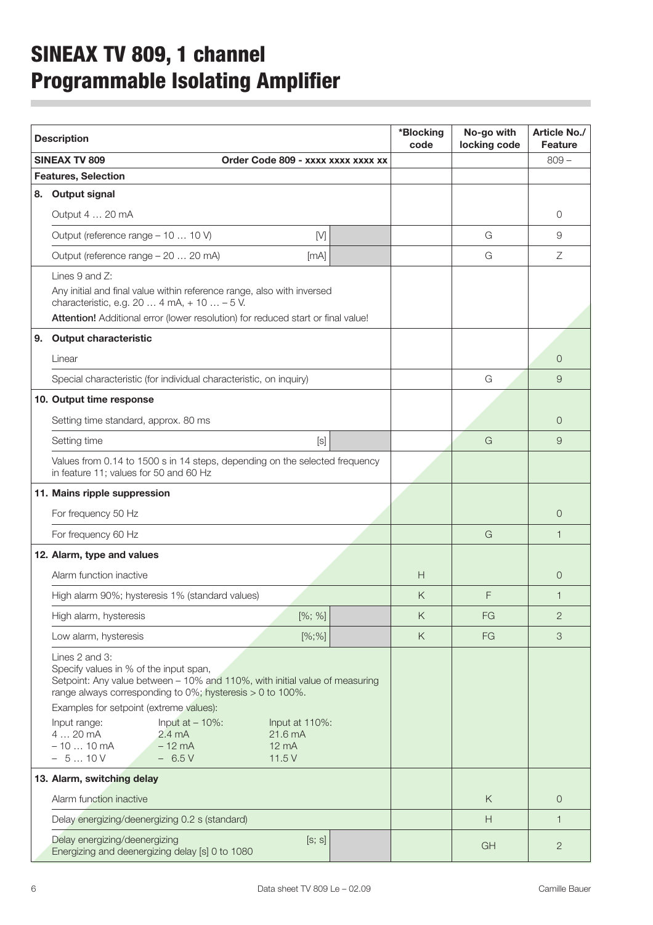| <b>Description</b> |                                                                                                                                                                                                                                | *Blocking<br>code | No-go with<br>locking code | <b>Article No./</b><br><b>Feature</b> |
|--------------------|--------------------------------------------------------------------------------------------------------------------------------------------------------------------------------------------------------------------------------|-------------------|----------------------------|---------------------------------------|
|                    | <b>SINEAX TV 809</b><br>Order Code 809 - xxxx xxxx xxxx xx                                                                                                                                                                     |                   |                            | $809 -$                               |
|                    | <b>Features, Selection</b>                                                                                                                                                                                                     |                   |                            |                                       |
| 8.                 | Output signal                                                                                                                                                                                                                  |                   |                            |                                       |
|                    | Output 4  20 mA                                                                                                                                                                                                                |                   |                            | 0                                     |
|                    | Output (reference range - 10  10 V)<br>[V]                                                                                                                                                                                     |                   | G                          | 9                                     |
|                    | Output (reference range - 20  20 mA)<br>[mA]                                                                                                                                                                                   |                   | G                          | Ζ                                     |
|                    | Lines 9 and Z:<br>Any initial and final value within reference range, also with inversed<br>characteristic, e.g. 20  4 mA, $+ 10$ $- 5$ V.<br>Attention! Additional error (lower resolution) for reduced start or final value! |                   |                            |                                       |
| 9.                 | <b>Output characteristic</b>                                                                                                                                                                                                   |                   |                            |                                       |
|                    | Linear                                                                                                                                                                                                                         |                   |                            | $\overline{0}$                        |
|                    | Special characteristic (for individual characteristic, on inquiry)                                                                                                                                                             |                   | G                          | 9                                     |
|                    | 10. Output time response                                                                                                                                                                                                       |                   |                            |                                       |
|                    | Setting time standard, approx. 80 ms                                                                                                                                                                                           |                   |                            | $\Omega$                              |
|                    | Setting time<br>[s]                                                                                                                                                                                                            |                   | G                          | 9                                     |
|                    | Values from 0.14 to 1500 s in 14 steps, depending on the selected frequency<br>in feature 11; values for 50 and 60 Hz                                                                                                          |                   |                            |                                       |
|                    | 11. Mains ripple suppression                                                                                                                                                                                                   |                   |                            |                                       |
|                    | For frequency 50 Hz                                                                                                                                                                                                            |                   |                            | $\overline{0}$                        |
|                    | For frequency 60 Hz                                                                                                                                                                                                            |                   | G                          | 1                                     |
|                    | 12. Alarm, type and values                                                                                                                                                                                                     |                   |                            |                                       |
|                    | Alarm function inactive                                                                                                                                                                                                        | Н                 |                            | 0                                     |
|                    | High alarm 90%; hysteresis 1% (standard values)                                                                                                                                                                                | K                 | F                          | 1                                     |
|                    | High alarm, hysteresis<br>[%; %]                                                                                                                                                                                               | Κ                 | FG                         | $\mathbf{2}$                          |
|                    | Low alarm, hysteresis<br>$[%;]\%$                                                                                                                                                                                              | K                 | <b>FG</b>                  | 3                                     |
|                    | Lines 2 and 3:<br>Specify values in % of the input span,<br>Setpoint: Any value between - 10% and 110%, with initial value of measuring<br>range always corresponding to 0%; hysteresis > 0 to 100%.                           |                   |                            |                                       |
|                    | Examples for setpoint (extreme values):<br>Input at $-10\%$ :<br>Input range:<br>Input at 110%:<br>4  20 mA<br>$2.4 \text{ mA}$<br>21.6 mA<br>$-1010$ mA<br>$-12$ mA<br>$12 \text{ mA}$<br>$-510V$<br>$-6.5V$<br>11.5 V        |                   |                            |                                       |
|                    | 13. Alarm, switching delay                                                                                                                                                                                                     |                   |                            |                                       |
|                    | Alarm function inactive                                                                                                                                                                                                        |                   | $\sf K$                    | $\overline{O}$                        |
|                    | Delay energizing/deenergizing 0.2 s (standard)                                                                                                                                                                                 |                   | H                          | $\mathbf{1}$                          |
|                    | Delay energizing/deenergizing<br>[s; s]<br>Energizing and deenergizing delay [s] 0 to 1080                                                                                                                                     |                   | GH                         | $\mathbf{2}$                          |

i.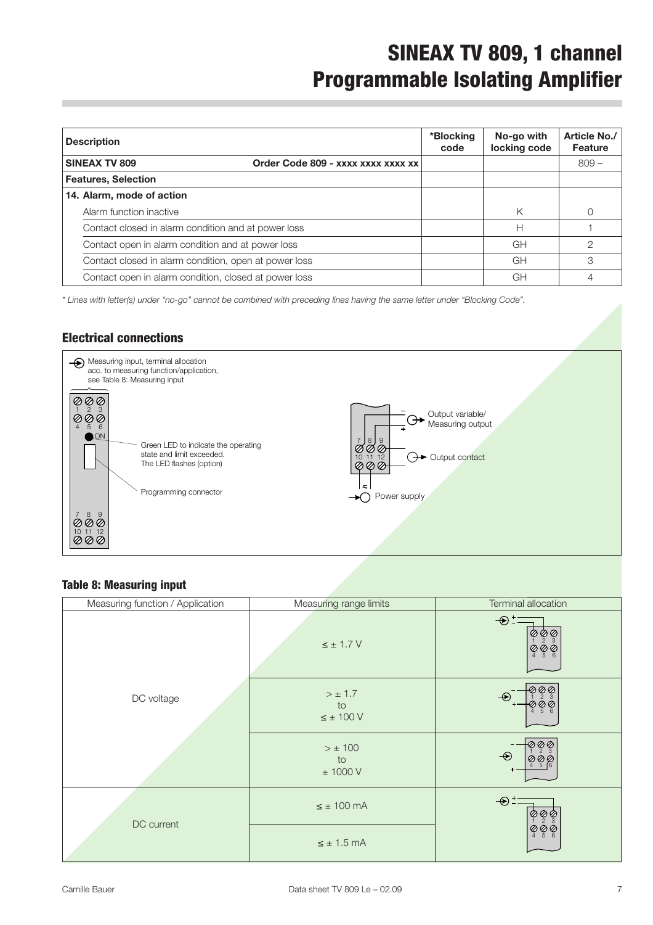| <b>Description</b>                                    |  | No-go with<br>locking code | Article No./<br><b>Feature</b> |
|-------------------------------------------------------|--|----------------------------|--------------------------------|
| SINEAX TV 809<br>Order Code 809 - xxxx xxxx xxxx xx   |  |                            | $809 -$                        |
| <b>Features, Selection</b>                            |  |                            |                                |
| 14. Alarm, mode of action                             |  |                            |                                |
| Alarm function inactive                               |  | Κ                          |                                |
| Contact closed in alarm condition and at power loss   |  | н                          |                                |
| Contact open in alarm condition and at power loss     |  | GH                         | 2                              |
| Contact closed in alarm condition, open at power loss |  | GH                         | 3                              |
| Contact open in alarm condition, closed at power loss |  | GH                         |                                |

\* Lines with letter(s) under "no-go" cannot be combined with preceding lines having the same letter under "Blocking Code".

### **Electrical connections**



### **Table 8: Measuring input**

| Measuring function / Application | Measuring range limits                | Terminal allocation           |
|----------------------------------|---------------------------------------|-------------------------------|
|                                  | $\leq \pm$ 1.7 V                      | $\bigoplus$                   |
| DC voltage                       | $> \pm 1.7$<br>to<br>$\leq \pm$ 100 V |                               |
|                                  | $> \pm$ 100<br>to<br>$\pm$ 1000 V     | ØØ.                           |
| DC current                       | $\leq \pm 100$ mA                     | $\bigoplus$ $\stackrel{+}{-}$ |
|                                  | $\leq \pm 1.5$ mA                     |                               |